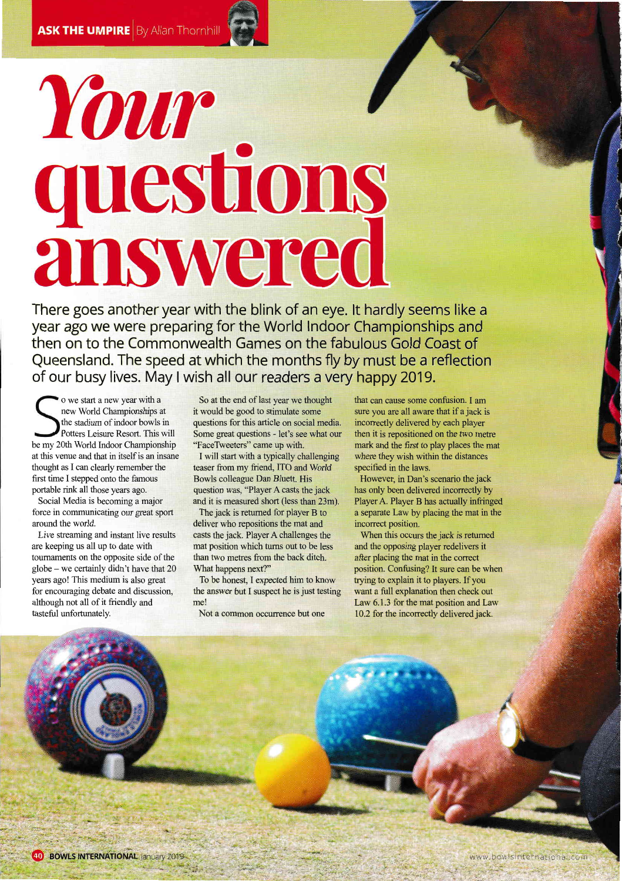## Your { ls 'lanswered

There goes another year with the blink of an eye. lt hardly seems like <sup>a</sup> year ago we were preparing for the World lndoor Championships and then on to the Commonwealth Games on the fabulous Gold Coast of Queensland. The speed at which the months fly by must be a reflection of our busy lives. May I wish all our readers a very happy 2019.

o we start a new year with a new World Championships at the stadium of indoor bowls in Potters Leisure Resort. This will be my 20th World lndoor Championship at this venue and that in itself is an insane thought as I can clearly remember the first time I stepped onto the famous portable rink all those years ago.

Social Media is becoming a major force in communicating our great sport around the world.

Live streaming and instant live results are keeping us all up to date with toumaments on the opposite side of the globe - we certainly didn't have that 20 years ago! This medium is also great for encouraging debate and discussion, although not all of it friendly and tasteful unfortunately.

So at the end of last year we thought it would be good to stimulate some questions for this article on social media. Some great questions - let's see what our "FaceTweeters" came up with.

I will start with a typically challenging teaser from my friend, ITO and World Bowls colleague Dan Bluett. His question was, "Player A casts the jack and it is measured short (less than 23m).

The jack is returned for player B to deliver who repositions the mat and casts the jack. Player A challenges the mat position which tums out to be less than two metres from the back ditch. What happens next?"

To be honest, I expected him to know the answer but I suspect he is just testing me!

Not a common occurrence but one

that can cause some confusion. I am sure you are all aware that if a jack is incorrectly delivered by each player then it is repositioned on the two metre mark and the first to play places the mat where they wish within the distances specified in the laws.

However, in Dan's scenario the jack has only been delivered incorrectly by Player A. Player B has actually infringed a separate Law by placing the mat in the incorrect position.

When this occurs the jack is retumed and the opposing player redelivers it after placing the mat in the correct position. Confusing? It sure can be when trying to explain it to players. If you want a full explanation then check out Law 6.1.3 for the mat position and Law 10.2 for the incorrectly delivered jack.